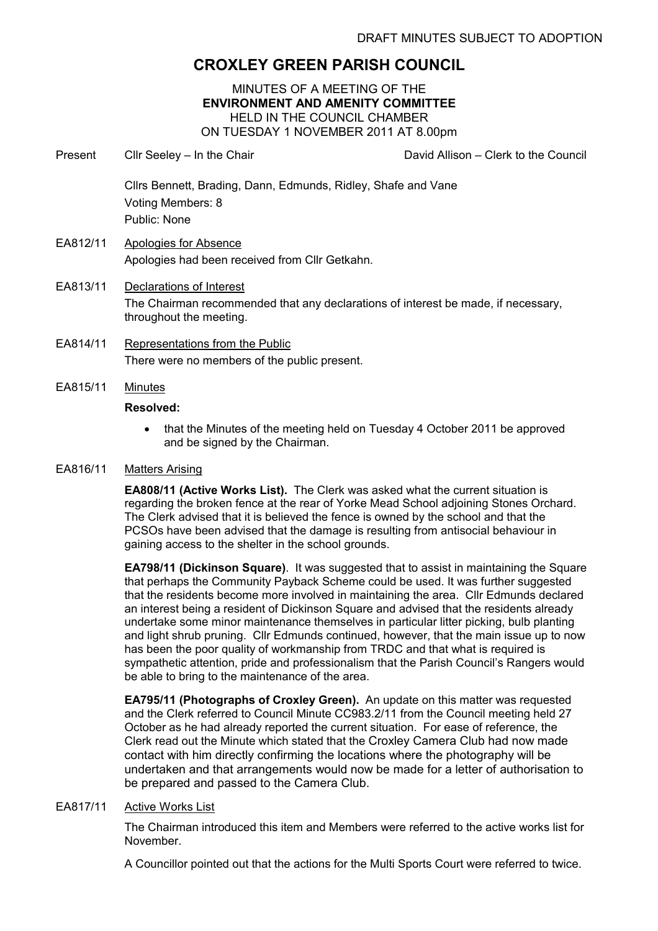# CROXLEY GREEN PARISH COUNCIL

MINUTES OF A MEETING OF THE ENVIRONMENT AND AMENITY COMMITTEE HELD IN THE COUNCIL CHAMBER ON TUESDAY 1 NOVEMBER 2011 AT 8.00pm

- Present Cllr Seeley In the Chair Chair David Allison Clerk to the Council Cllrs Bennett, Brading, Dann, Edmunds, Ridley, Shafe and Vane Voting Members: 8 Public: None EA812/11 Apologies for Absence Apologies had been received from Cllr Getkahn. EA813/11 Declarations of Interest The Chairman recommended that any declarations of interest be made, if necessary,
- EA814/11 Representations from the Public There were no members of the public present.

throughout the meeting.

EA815/11 Minutes

## Resolved:

• that the Minutes of the meeting held on Tuesday 4 October 2011 be approved and be signed by the Chairman.

# EA816/11 Matters Arising

EA808/11 (Active Works List). The Clerk was asked what the current situation is regarding the broken fence at the rear of Yorke Mead School adjoining Stones Orchard. The Clerk advised that it is believed the fence is owned by the school and that the PCSOs have been advised that the damage is resulting from antisocial behaviour in gaining access to the shelter in the school grounds.

EA798/11 (Dickinson Square). It was suggested that to assist in maintaining the Square that perhaps the Community Payback Scheme could be used. It was further suggested that the residents become more involved in maintaining the area. Cllr Edmunds declared an interest being a resident of Dickinson Square and advised that the residents already undertake some minor maintenance themselves in particular litter picking, bulb planting and light shrub pruning. Cllr Edmunds continued, however, that the main issue up to now has been the poor quality of workmanship from TRDC and that what is required is sympathetic attention, pride and professionalism that the Parish Council's Rangers would be able to bring to the maintenance of the area.

EA795/11 (Photographs of Croxley Green). An update on this matter was requested and the Clerk referred to Council Minute CC983.2/11 from the Council meeting held 27 October as he had already reported the current situation. For ease of reference, the Clerk read out the Minute which stated that the Croxley Camera Club had now made contact with him directly confirming the locations where the photography will be undertaken and that arrangements would now be made for a letter of authorisation to be prepared and passed to the Camera Club.

## EA817/11 Active Works List

The Chairman introduced this item and Members were referred to the active works list for November.

A Councillor pointed out that the actions for the Multi Sports Court were referred to twice.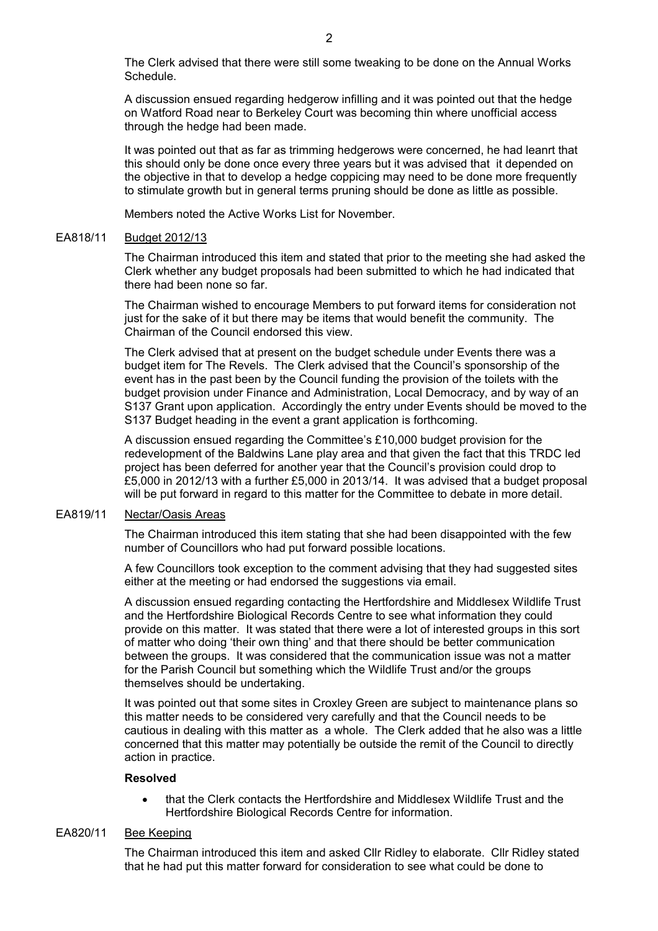The Clerk advised that there were still some tweaking to be done on the Annual Works Schedule.

A discussion ensued regarding hedgerow infilling and it was pointed out that the hedge on Watford Road near to Berkeley Court was becoming thin where unofficial access through the hedge had been made.

It was pointed out that as far as trimming hedgerows were concerned, he had leanrt that this should only be done once every three years but it was advised that it depended on the objective in that to develop a hedge coppicing may need to be done more frequently to stimulate growth but in general terms pruning should be done as little as possible.

Members noted the Active Works List for November.

#### EA818/11 Budget 2012/13

The Chairman introduced this item and stated that prior to the meeting she had asked the Clerk whether any budget proposals had been submitted to which he had indicated that there had been none so far.

The Chairman wished to encourage Members to put forward items for consideration not just for the sake of it but there may be items that would benefit the community. The Chairman of the Council endorsed this view.

The Clerk advised that at present on the budget schedule under Events there was a budget item for The Revels. The Clerk advised that the Council's sponsorship of the event has in the past been by the Council funding the provision of the toilets with the budget provision under Finance and Administration, Local Democracy, and by way of an S137 Grant upon application. Accordingly the entry under Events should be moved to the S137 Budget heading in the event a grant application is forthcoming.

A discussion ensued regarding the Committee's £10,000 budget provision for the redevelopment of the Baldwins Lane play area and that given the fact that this TRDC led project has been deferred for another year that the Council's provision could drop to £5,000 in 2012/13 with a further £5,000 in 2013/14. It was advised that a budget proposal will be put forward in regard to this matter for the Committee to debate in more detail.

#### EA819/11 Nectar/Oasis Areas

The Chairman introduced this item stating that she had been disappointed with the few number of Councillors who had put forward possible locations.

A few Councillors took exception to the comment advising that they had suggested sites either at the meeting or had endorsed the suggestions via email.

A discussion ensued regarding contacting the Hertfordshire and Middlesex Wildlife Trust and the Hertfordshire Biological Records Centre to see what information they could provide on this matter. It was stated that there were a lot of interested groups in this sort of matter who doing 'their own thing' and that there should be better communication between the groups. It was considered that the communication issue was not a matter for the Parish Council but something which the Wildlife Trust and/or the groups themselves should be undertaking.

It was pointed out that some sites in Croxley Green are subject to maintenance plans so this matter needs to be considered very carefully and that the Council needs to be cautious in dealing with this matter as a whole. The Clerk added that he also was a little concerned that this matter may potentially be outside the remit of the Council to directly action in practice.

#### Resolved

• that the Clerk contacts the Hertfordshire and Middlesex Wildlife Trust and the Hertfordshire Biological Records Centre for information.

### EA820/11 Bee Keeping

The Chairman introduced this item and asked Cllr Ridley to elaborate. Cllr Ridley stated that he had put this matter forward for consideration to see what could be done to